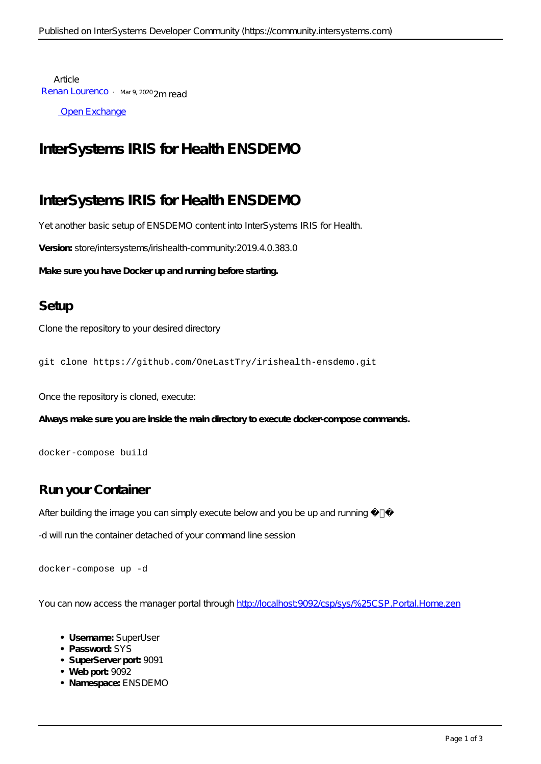Article [Renan Lourenco](https://community.intersystems.com/user/renan-lourenco) · Mar 9, 2020 2m read

[Open Exchange](https://openexchange.intersystems.com/package/irishealth-ensdemo)

## **InterSystems IRIS for Health ENSDEMO**

# **InterSystems IRIS for Health ENSDEMO**

Yet another basic setup of ENSDEMO content into InterSystems IRIS for Health.

**Version:** *store/intersystems/irishealth-community:2019.4.0.383.0*

**Make sure you have Docker up and running before starting.**

### **Setup**

Clone the repository to your desired directory

git clone https://github.com/OneLastTry/irishealth-ensdemo.git

Once the repository is cloned, execute:

**Always make sure you are inside the main directory to execute docker-compose commands.**

docker-compose build

## **Run your Container**

After building the image you can simply execute below and you be up and running :

*-d will run the container detached of your command line session*

docker-compose up -d

You can now access the manager portal through<http://localhost:9092/csp/sys/%25CSP.Portal.Home.zen>

- **Username:** SuperUser
- **Password:** SYS
- **SuperServer port:** 9091
- **Web port:** 9092
- **Namespace:** ENSDEMO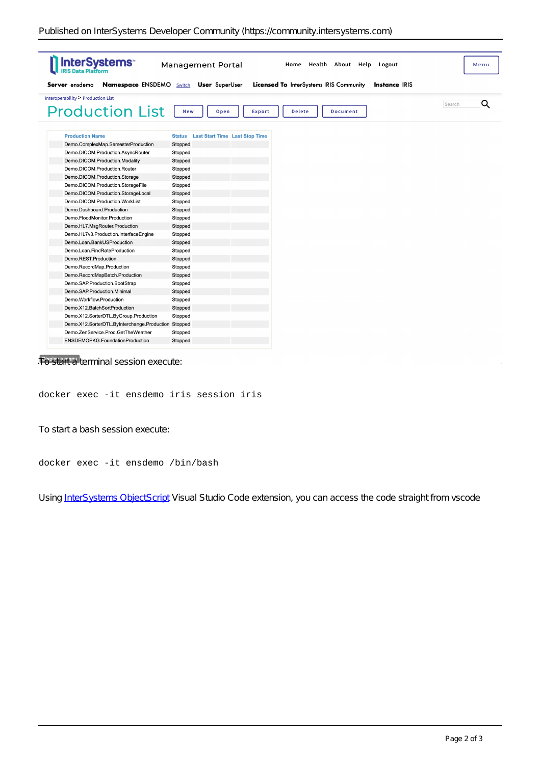| <b>InterSystems</b>                                 | <b>Management Portal</b>                               | Home Health About Help<br>Logout        | Menu                 |
|-----------------------------------------------------|--------------------------------------------------------|-----------------------------------------|----------------------|
| Server ensdemo<br><b>Namespace ENSDEMO</b> Switch   | <b>User</b> SuperUser                                  | Licensed To InterSystems IRIS Community | <b>Instance IRIS</b> |
| Interoperability > Production List                  |                                                        |                                         | Q                    |
| <b>Production List</b>                              | New<br>Open<br>Export                                  | <b>Delete</b><br><b>Document</b>        | Search               |
| <b>Production Name</b>                              | <b>Last Start Time Last Stop Time</b><br><b>Status</b> |                                         |                      |
| Demo.ComplexMap.SemesterProduction                  | Stopped                                                |                                         |                      |
| Demo.DICOM.Production.AsyncRouter                   | Stopped                                                |                                         |                      |
| Demo.DICOM.Production.Modality                      | Stopped                                                |                                         |                      |
| Demo.DICOM.Production.Router                        | Stopped                                                |                                         |                      |
| Demo.DICOM.Production.Storage                       | Stopped                                                |                                         |                      |
| Demo.DICOM.Production.StorageFile                   | Stopped                                                |                                         |                      |
| Demo.DICOM.Production.StorageLocal                  | Stopped                                                |                                         |                      |
| Demo.DICOM.Production.WorkList                      | Stopped                                                |                                         |                      |
| Demo.Dashboard.Production                           | Stopped                                                |                                         |                      |
| Demo.FloodMonitor.Production                        | Stopped                                                |                                         |                      |
| Demo.HL7.MsgRouter.Production                       | Stopped                                                |                                         |                      |
| Demo.HL7v3.Production.InterfaceEngine               | Stopped                                                |                                         |                      |
| Demo.Loan.BankUSProduction                          | Stopped                                                |                                         |                      |
| Demo.Loan.FindRateProduction                        | Stopped                                                |                                         |                      |
| Demo.REST.Production                                | Stopped                                                |                                         |                      |
| Demo.RecordMap.Production                           | Stopped                                                |                                         |                      |
| Demo.RecordMapBatch.Production                      | Stopped                                                |                                         |                      |
| Demo.SAP.Production.BootStrap                       | Stopped                                                |                                         |                      |
| Demo.SAP.Production.Minimal                         | Stopped                                                |                                         |                      |
| Demo.Workflow.Production                            | Stopped                                                |                                         |                      |
| Demo.X12.BatchSortProduction                        | Stopped                                                |                                         |                      |
| Demo.X12.SorterDTL.ByGroup.Production               | Stopped                                                |                                         |                      |
| Demo.X12.SorterDTL.ByInterchange.Production Stopped |                                                        |                                         |                      |
| Demo.ZenService.Prod.GetTheWeather                  | Stopped                                                |                                         |                      |
| ENSDEMOPKG.FoundationProduction                     | Stopped                                                |                                         |                      |

### T<sup>Display</sup> a menu terminal session execute:

#### docker exec -it ensdemo iris session iris

To start a bash session execute:

#### docker exec -it ensdemo /bin/bash

Using [InterSystems ObjectScript](https://marketplace.visualstudio.com/items?itemName=daimor.vscode-objectscript) Visual Studio Code extension, you can access the code straight from *vscode*